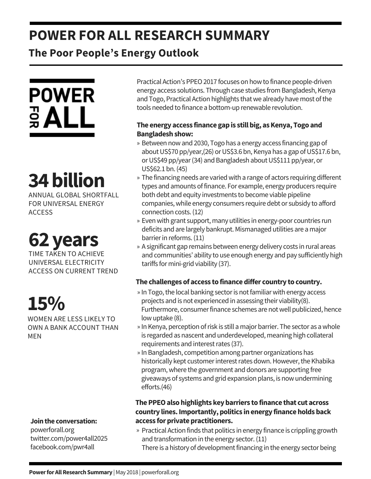### **POWER FOR ALL RESEARCH SUMMARY**

### **The Poor People's Energy Outlook**



# **34billion**

ANNUAL GLOBAL SHORTFALL FOR UNIVERSAL ENERGY ACCESS

## **62years**

TIME TAKEN TO ACHIEVE UNIVERSAL ELECTRICITY ACCESS ON CURRENT TREND

## **15%**

WOMEN ARE LESS LIKELY TO OWN A BANK ACCOUNT THAN MEN

### **Jointhe conversation:**

powerforall.org twitter.com/power4all2025 facebook.com/pwr4all

Practical Action's PPEO 2017 focuses on how to finance people-driven energy access solutions. Through case studies from Bangladesh, Kenya and Togo, Practical Action highlights that we already have most of the tools needed to finance a bottom-up renewable revolution.

### **The energy access finance gapis stillbig, asKenya, Togo and Bangladeshshow:**

- » Between now and 2030, Togo has a energy access financing gap of about US\$70 pp/year,(26) or US\$3.6 bn, Kenya has a gap of US\$17.6 bn, or US\$49 pp/year (34) and Bangladesh about US\$111 pp/year, or US\$62.1 bn.(45)
- » The financing needs are varied with a range of actors requiring different types and amounts offinance. For example, energy producers require both debt and equity investments to become viable pipeline companies,while energy consumers require debt or subsidy to afford connection costs.(12)
- » Even with grant support, many utilities in energy-poor countries run deficits and are largely bankrupt. Mismanaged utilities are a major barrier in reforms. (11)
- A significant gap remains between energy delivery costs in rural areas » and communities' ability to use enough energy and pay sufficiently high tariffs for mini-grid viability (37).

### **The challenges of access to financediffer country to country.**

- » In Togo, the local banking sector is not familiar with energy access projects and is not experienced in assessing their viability(8). Furthermore, consumer finance schemes are not well publicized, hence lowuptake (8).
- » In Kenya, perception of risk is still a major barrier. The sector as a whole is regarded as nascent and underdeveloped, meaning high collateral requirements and interest rates (37).
- » In Bangladesh, competition among partner organizations has historically kept customer interest rates down. However, the Khabika program,where the government and donors are supporting free giveaways of systems and grid expansion plans, is nowundermining efforts.(46)

### **ThePPEOalsohighlights keybarriers to finance that cut across country lines.Importantly,politics inenergy financeholdsback access for private practitioners.**

- » Practical Action finds that politics in energy finance is crippling growth and transformation in the energy sector. (11)
	- There is a history of development financing in the energy sector being